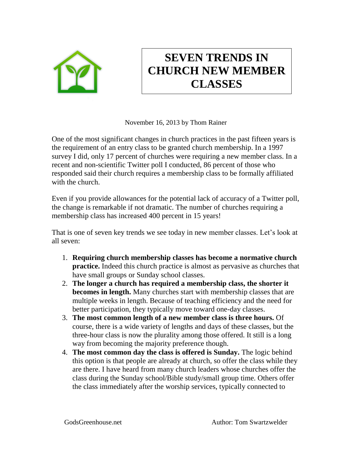

## **SEVEN TRENDS IN CHURCH NEW MEMBER CLASSES**

November 16, 2013 by Thom Rainer

One of the most significant changes in church practices in the past fifteen years is the requirement of an entry class to be granted church membership. In a 1997 survey I did, only 17 percent of churches were requiring a new member class. In a recent and non-scientific Twitter poll I conducted, 86 percent of those who responded said their church requires a membership class to be formally affiliated with the church.

Even if you provide allowances for the potential lack of accuracy of a Twitter poll, the change is remarkable if not dramatic. The number of churches requiring a membership class has increased 400 percent in 15 years!

That is one of seven key trends we see today in new member classes. Let's look at all seven:

- 1. **Requiring church membership classes has become a normative church practice.** Indeed this church practice is almost as pervasive as churches that have small groups or Sunday school classes.
- 2. **The longer a church has required a membership class, the shorter it becomes in length.** Many churches start with membership classes that are multiple weeks in length. Because of teaching efficiency and the need for better participation, they typically move toward one-day classes.
- 3. **The most common length of a new member class is three hours.** Of course, there is a wide variety of lengths and days of these classes, but the three-hour class is now the plurality among those offered. It still is a long way from becoming the majority preference though.
- 4. **The most common day the class is offered is Sunday.** The logic behind this option is that people are already at church, so offer the class while they are there. I have heard from many church leaders whose churches offer the class during the Sunday school/Bible study/small group time. Others offer the class immediately after the worship services, typically connected to